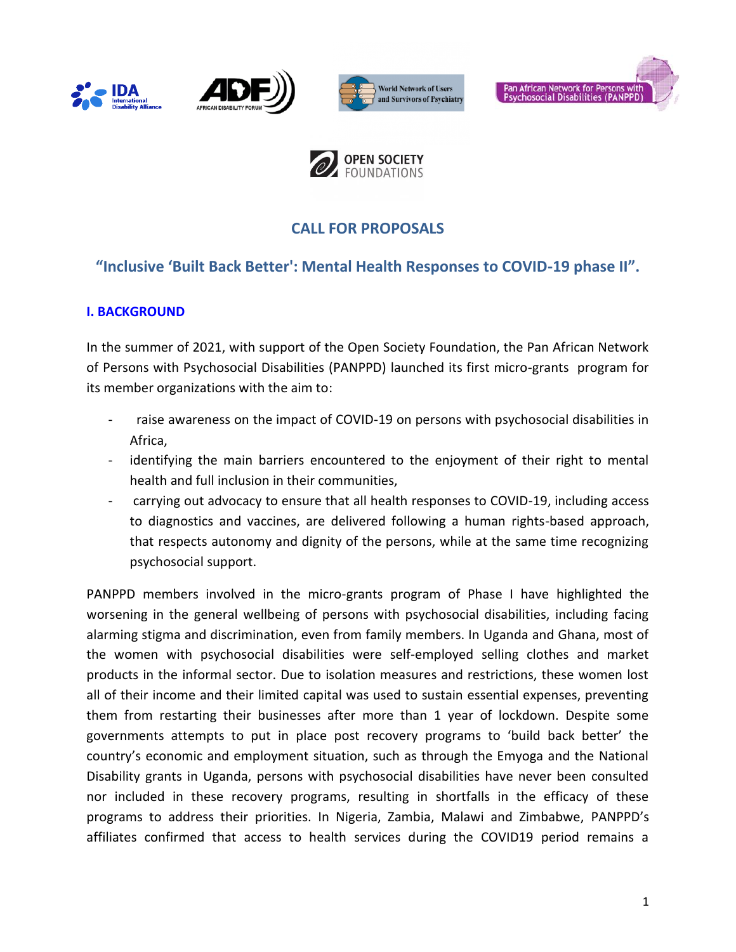









# **CALL FOR PROPOSALS**

# **"Inclusive 'Built Back Better': Mental Health Responses to COVID-19 phase II".**

### **I. BACKGROUND**

In the summer of 2021, with support of the Open Society Foundation, the Pan African Network of Persons with Psychosocial Disabilities (PANPPD) launched its first micro-grants program for its member organizations with the aim to:

- raise awareness on the impact of COVID-19 on persons with psychosocial disabilities in Africa,
- identifying the main barriers encountered to the enjoyment of their right to mental health and full inclusion in their communities,
- carrying out advocacy to ensure that all health responses to COVID-19, including access to diagnostics and vaccines, are delivered following a human rights-based approach, that respects autonomy and dignity of the persons, while at the same time recognizing psychosocial support.

PANPPD members involved in the micro-grants program of Phase I have highlighted the worsening in the general wellbeing of persons with psychosocial disabilities, including facing alarming stigma and discrimination, even from family members. In Uganda and Ghana, most of the women with psychosocial disabilities were self-employed selling clothes and market products in the informal sector. Due to isolation measures and restrictions, these women lost all of their income and their limited capital was used to sustain essential expenses, preventing them from restarting their businesses after more than 1 year of lockdown. Despite some governments attempts to put in place post recovery programs to 'build back better' the country's economic and employment situation, such as through the Emyoga and the National Disability grants in Uganda, persons with psychosocial disabilities have never been consulted nor included in these recovery programs, resulting in shortfalls in the efficacy of these programs to address their priorities. In Nigeria, Zambia, Malawi and Zimbabwe, PANPPD's affiliates confirmed that access to health services during the COVID19 period remains a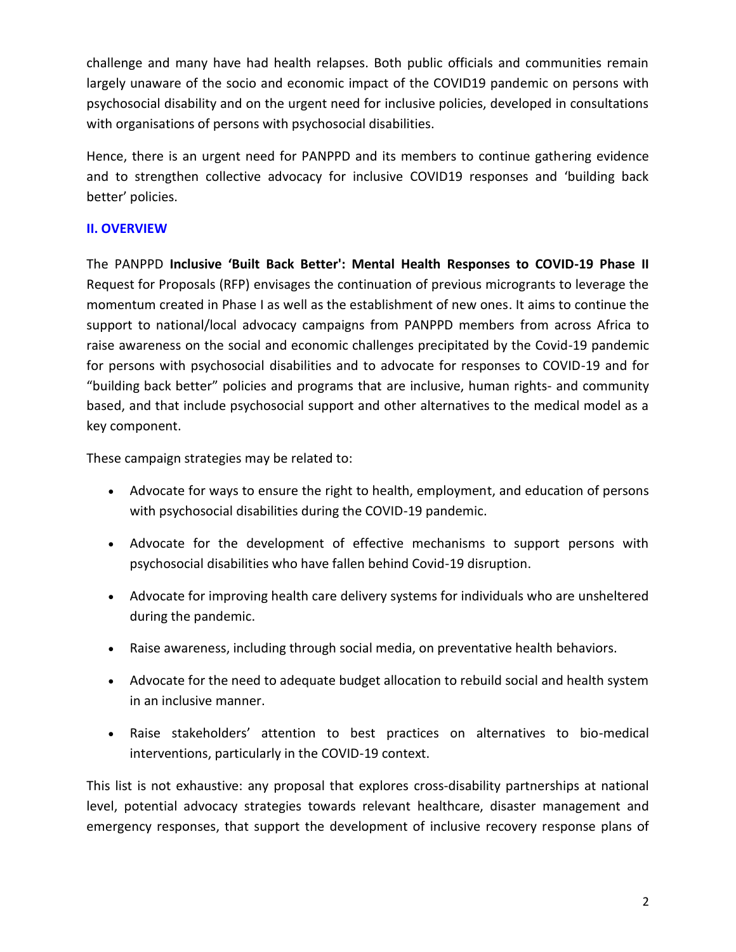challenge and many have had health relapses. Both public officials and communities remain largely unaware of the socio and economic impact of the COVID19 pandemic on persons with psychosocial disability and on the urgent need for inclusive policies, developed in consultations with organisations of persons with psychosocial disabilities.

Hence, there is an urgent need for PANPPD and its members to continue gathering evidence and to strengthen collective advocacy for inclusive COVID19 responses and 'building back better' policies.

### **II. OVERVIEW**

The PANPPD **Inclusive 'Built Back Better': Mental Health Responses to COVID-19 Phase II** Request for Proposals (RFP) envisages the continuation of previous microgrants to leverage the momentum created in Phase I as well as the establishment of new ones. It aims to continue the support to national/local advocacy campaigns from PANPPD members from across Africa to raise awareness on the social and economic challenges precipitated by the Covid-19 pandemic for persons with psychosocial disabilities and to advocate for responses to COVID-19 and for "building back better" policies and programs that are inclusive, human rights- and community based, and that include psychosocial support and other alternatives to the medical model as a key component.

These campaign strategies may be related to:

- Advocate for ways to ensure the right to health, employment, and education of persons with psychosocial disabilities during the COVID-19 pandemic.
- Advocate for the development of effective mechanisms to support persons with psychosocial disabilities who have fallen behind Covid-19 disruption.
- Advocate for improving health care delivery systems for individuals who are unsheltered during the pandemic.
- Raise awareness, including through social media, on preventative health behaviors.
- Advocate for the need to adequate budget allocation to rebuild social and health system in an inclusive manner.
- Raise stakeholders' attention to best practices on alternatives to bio-medical interventions, particularly in the COVID-19 context.

This list is not exhaustive: any proposal that explores cross-disability partnerships at national level, potential advocacy strategies towards relevant healthcare, disaster management and emergency responses, that support the development of inclusive recovery response plans of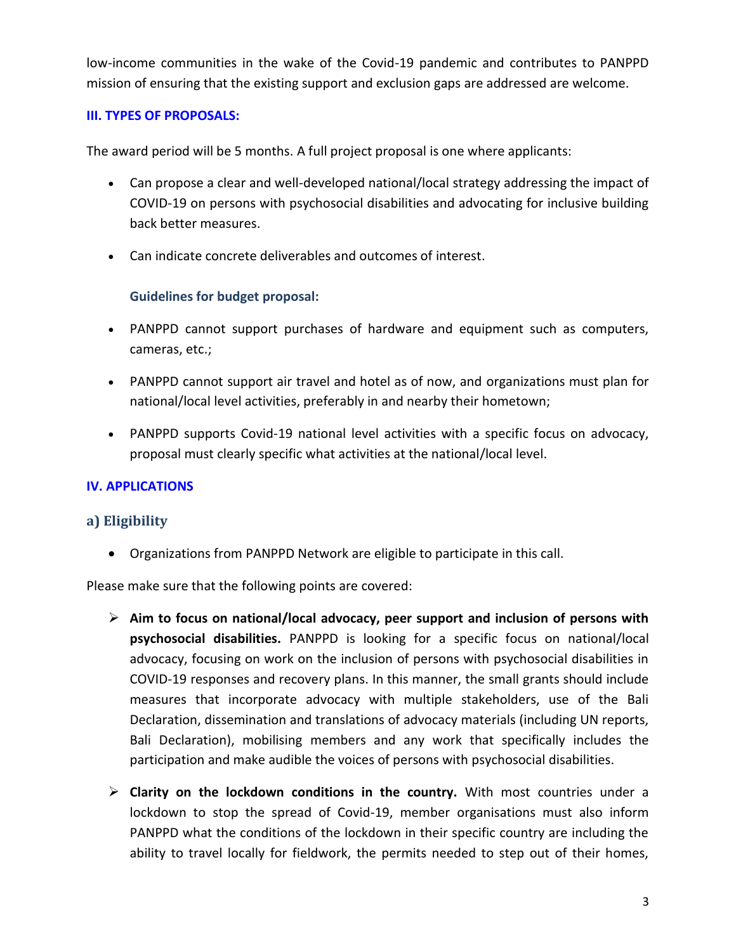low-income communities in the wake of the Covid-19 pandemic and contributes to PANPPD mission of ensuring that the existing support and exclusion gaps are addressed are welcome.

### **III. TYPES OF PROPOSALS:**

The award period will be 5 months. A full project proposal is one where applicants:

- Can propose a clear and well-developed national/local strategy addressing the impact of COVID-19 on persons with psychosocial disabilities and advocating for inclusive building back better measures.
- Can indicate concrete deliverables and outcomes of interest.

### **Guidelines for budget proposal:**

- PANPPD cannot support purchases of hardware and equipment such as computers, cameras, etc.;
- PANPPD cannot support air travel and hotel as of now, and organizations must plan for national/local level activities, preferably in and nearby their hometown;
- PANPPD supports Covid-19 national level activities with a specific focus on advocacy, proposal must clearly specific what activities at the national/local level.

### **IV. APPLICATIONS**

#### **a) Eligibility**

• Organizations from PANPPD Network are eligible to participate in this call.

Please make sure that the following points are covered:

- ➢ **Aim to focus on national/local advocacy, peer support and inclusion of persons with psychosocial disabilities.** PANPPD is looking for a specific focus on national/local advocacy, focusing on work on the inclusion of persons with psychosocial disabilities in COVID-19 responses and recovery plans. In this manner, the small grants should include measures that incorporate advocacy with multiple stakeholders, use of the Bali Declaration, dissemination and translations of advocacy materials (including UN reports, Bali Declaration), mobilising members and any work that specifically includes the participation and make audible the voices of persons with psychosocial disabilities.
- ➢ **Clarity on the lockdown conditions in the country.** With most countries under a lockdown to stop the spread of Covid-19, member organisations must also inform PANPPD what the conditions of the lockdown in their specific country are including the ability to travel locally for fieldwork, the permits needed to step out of their homes,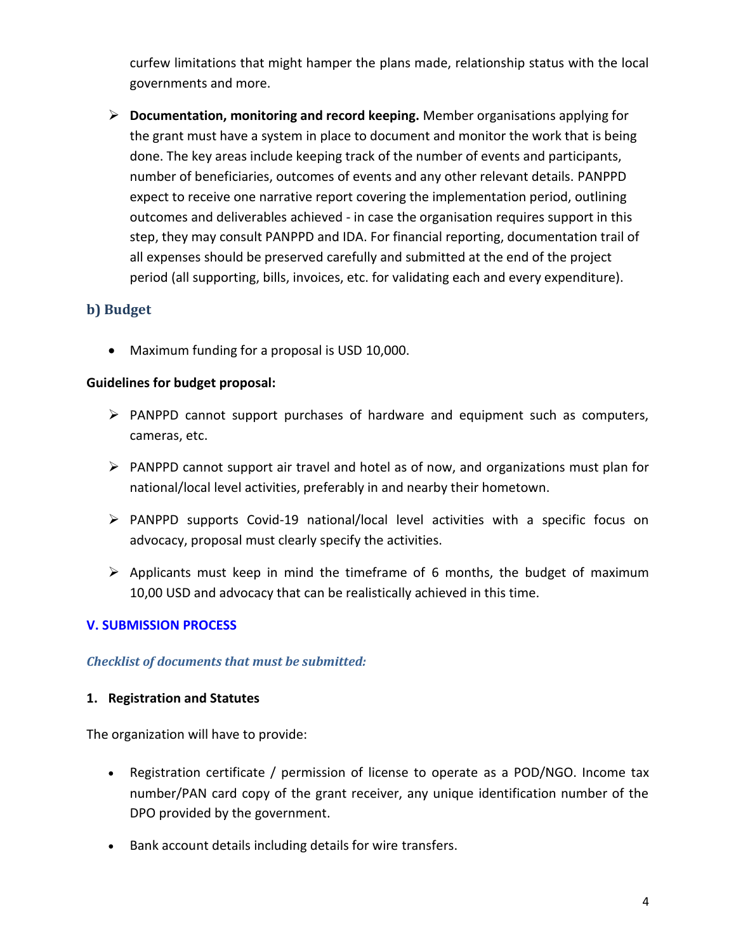curfew limitations that might hamper the plans made, relationship status with the local governments and more.

➢ **Documentation, monitoring and record keeping.** Member organisations applying for the grant must have a system in place to document and monitor the work that is being done. The key areas include keeping track of the number of events and participants, number of beneficiaries, outcomes of events and any other relevant details. PANPPD expect to receive one narrative report covering the implementation period, outlining outcomes and deliverables achieved - in case the organisation requires support in this step, they may consult PANPPD and IDA. For financial reporting, documentation trail of all expenses should be preserved carefully and submitted at the end of the project period (all supporting, bills, invoices, etc. for validating each and every expenditure).

### **b) Budget**

• Maximum funding for a proposal is USD 10,000.

#### **Guidelines for budget proposal:**

- ➢ PANPPD cannot support purchases of hardware and equipment such as computers, cameras, etc.
- ➢ PANPPD cannot support air travel and hotel as of now, and organizations must plan for national/local level activities, preferably in and nearby their hometown.
- ➢ PANPPD supports Covid-19 national/local level activities with a specific focus on advocacy, proposal must clearly specify the activities.
- $\triangleright$  Applicants must keep in mind the timeframe of 6 months, the budget of maximum 10,00 USD and advocacy that can be realistically achieved in this time.

#### **V. SUBMISSION PROCESS**

#### *Checklist of documents that must be submitted:*

#### **1. Registration and Statutes**

The organization will have to provide:

- Registration certificate / permission of license to operate as a POD/NGO. Income tax number/PAN card copy of the grant receiver, any unique identification number of the DPO provided by the government.
- Bank account details including details for wire transfers.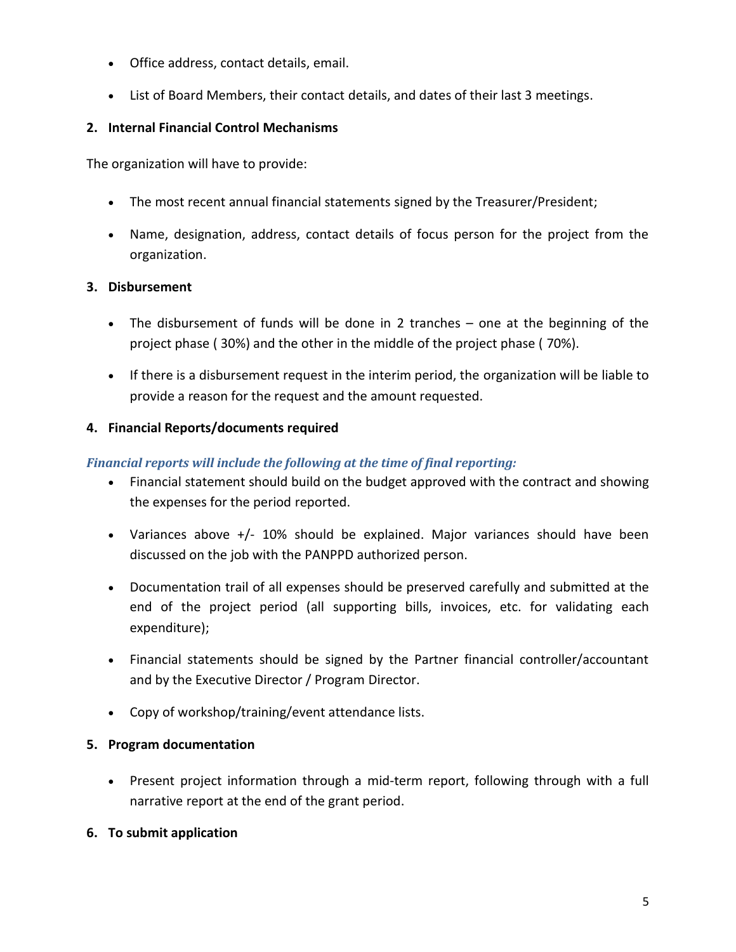- Office address, contact details, email.
- List of Board Members, their contact details, and dates of their last 3 meetings.

## **2. Internal Financial Control Mechanisms**

The organization will have to provide:

- The most recent annual financial statements signed by the Treasurer/President;
- Name, designation, address, contact details of focus person for the project from the organization.

# **3. Disbursement**

- The disbursement of funds will be done in 2 tranches one at the beginning of the project phase ( 30%) and the other in the middle of the project phase ( 70%).
- If there is a disbursement request in the interim period, the organization will be liable to provide a reason for the request and the amount requested.

### **4. Financial Reports/documents required**

# *Financial reports will include the following at the time of final reporting:*

- Financial statement should build on the budget approved with the contract and showing the expenses for the period reported.
- Variances above +/- 10% should be explained. Major variances should have been discussed on the job with the PANPPD authorized person.
- Documentation trail of all expenses should be preserved carefully and submitted at the end of the project period (all supporting bills, invoices, etc. for validating each expenditure);
- Financial statements should be signed by the Partner financial controller/accountant and by the Executive Director / Program Director.
- Copy of workshop/training/event attendance lists.

### **5. Program documentation**

• Present project information through a mid-term report, following through with a full narrative report at the end of the grant period.

### **6. To submit application**